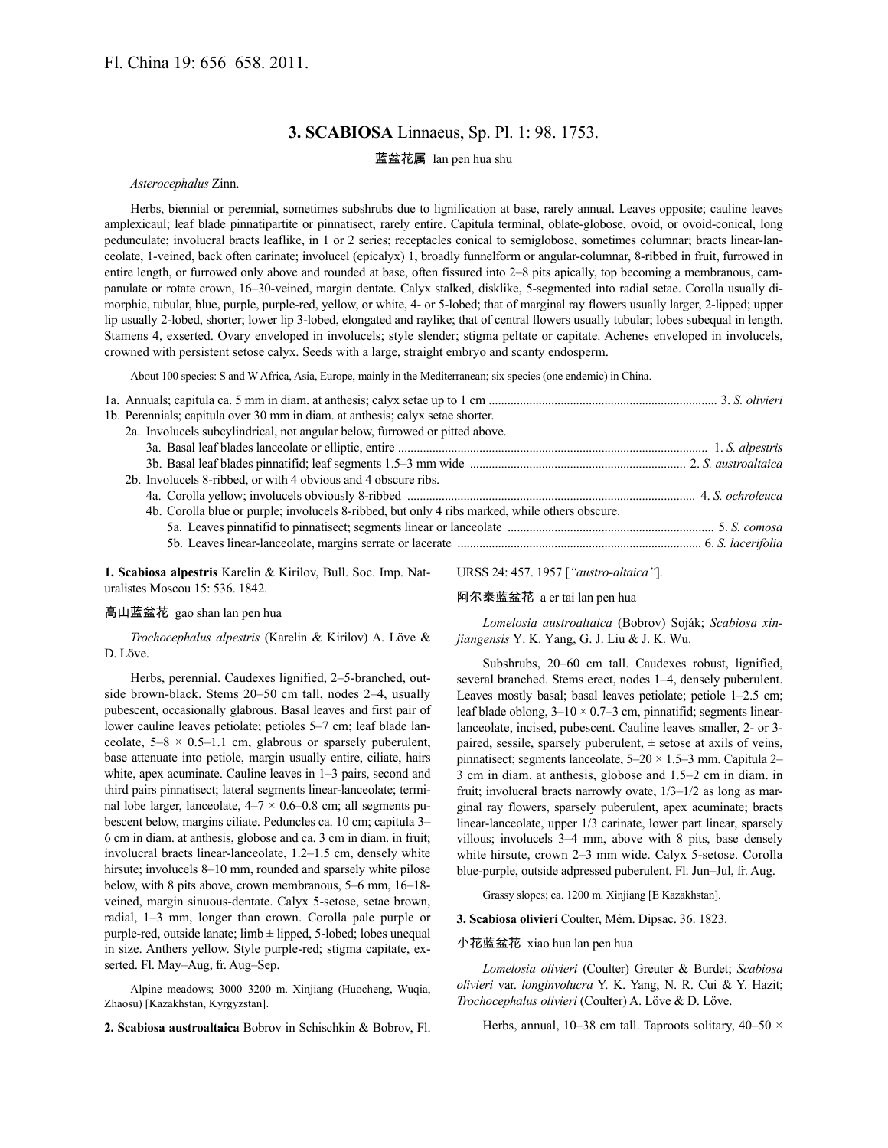# **3. SCABIOSA** Linnaeus, Sp. Pl. 1: 98. 1753.

## 蓝盆花属 lan pen hua shu

## *Asterocephalus* Zinn.

Herbs, biennial or perennial, sometimes subshrubs due to lignification at base, rarely annual. Leaves opposite; cauline leaves amplexicaul; leaf blade pinnatipartite or pinnatisect, rarely entire. Capitula terminal, oblate-globose, ovoid, or ovoid-conical, long pedunculate; involucral bracts leaflike, in 1 or 2 series; receptacles conical to semiglobose, sometimes columnar; bracts linear-lanceolate, 1-veined, back often carinate; involucel (epicalyx) 1, broadly funnelform or angular-columnar, 8-ribbed in fruit, furrowed in entire length, or furrowed only above and rounded at base, often fissured into 2–8 pits apically, top becoming a membranous, campanulate or rotate crown, 16–30-veined, margin dentate. Calyx stalked, disklike, 5-segmented into radial setae. Corolla usually dimorphic, tubular, blue, purple, purple-red, yellow, or white, 4- or 5-lobed; that of marginal ray flowers usually larger, 2-lipped; upper lip usually 2-lobed, shorter; lower lip 3-lobed, elongated and raylike; that of central flowers usually tubular; lobes subequal in length. Stamens 4, exserted. Ovary enveloped in involucels; style slender; stigma peltate or capitate. Achenes enveloped in involucels, crowned with persistent setose calyx. Seeds with a large, straight embryo and scanty endosperm.

About 100 species: S and W Africa, Asia, Europe, mainly in the Mediterranean; six species (one endemic) in China.

| 1b. Perennials; capitula over 30 mm in diam. at anthesis; calyx setae shorter.                 |  |
|------------------------------------------------------------------------------------------------|--|
| 2a. Involucels subcylindrical, not angular below, furrowed or pitted above.                    |  |
|                                                                                                |  |
|                                                                                                |  |
| 2b. Involucels 8-ribbed, or with 4 obvious and 4 obscure ribs.                                 |  |
|                                                                                                |  |
| 4b. Corolla blue or purple; involucels 8-ribbed, but only 4 ribs marked, while others obscure. |  |
|                                                                                                |  |
|                                                                                                |  |
|                                                                                                |  |

**1. Scabiosa alpestris** Karelin & Kirilov, Bull. Soc. Imp. Naturalistes Moscou 15: 536. 1842.

URSS 24: 457. 1957 [*"austro-altaica"*].

阿尔泰蓝盆花 a er tai lan pen hua

### 高山蓝盆花 gao shan lan pen hua

*Trochocephalus alpestris* (Karelin & Kirilov) A. Löve & D. Löve.

Herbs, perennial. Caudexes lignified, 2–5-branched, outside brown-black. Stems 20–50 cm tall, nodes 2–4, usually pubescent, occasionally glabrous. Basal leaves and first pair of lower cauline leaves petiolate; petioles 5–7 cm; leaf blade lanceolate,  $5-8 \times 0.5-1.1$  cm, glabrous or sparsely puberulent, base attenuate into petiole, margin usually entire, ciliate, hairs white, apex acuminate. Cauline leaves in 1–3 pairs, second and third pairs pinnatisect; lateral segments linear-lanceolate; terminal lobe larger, lanceolate,  $4-7 \times 0.6-0.8$  cm; all segments pubescent below, margins ciliate. Peduncles ca. 10 cm; capitula 3– 6 cm in diam. at anthesis, globose and ca. 3 cm in diam. in fruit; involucral bracts linear-lanceolate, 1.2–1.5 cm, densely white hirsute; involucels 8–10 mm, rounded and sparsely white pilose below, with 8 pits above, crown membranous, 5–6 mm, 16–18 veined, margin sinuous-dentate. Calyx 5-setose, setae brown, radial, 1–3 mm, longer than crown. Corolla pale purple or purple-red, outside lanate;  $limb \pm 1$  lipped, 5-lobed; lobes unequal in size. Anthers yellow. Style purple-red; stigma capitate, exserted. Fl. May–Aug, fr. Aug–Sep.

Alpine meadows; 3000–3200 m. Xinjiang (Huocheng, Wuqia, Zhaosu) [Kazakhstan, Kyrgyzstan].

**2. Scabiosa austroaltaica** Bobrov in Schischkin & Bobrov, Fl.

*Lomelosia austroaltaica* (Bobrov) Soják; *Scabiosa xinjiangensis* Y. K. Yang, G. J. Liu & J. K. Wu.

Subshrubs, 20–60 cm tall. Caudexes robust, lignified, several branched. Stems erect, nodes 1–4, densely puberulent. Leaves mostly basal; basal leaves petiolate; petiole 1–2.5 cm; leaf blade oblong,  $3-10 \times 0.7-3$  cm, pinnatifid; segments linearlanceolate, incised, pubescent. Cauline leaves smaller, 2- or 3 paired, sessile, sparsely puberulent,  $\pm$  setose at axils of veins, pinnatisect; segments lanceolate, 5–20 × 1.5–3 mm. Capitula 2– 3 cm in diam. at anthesis, globose and 1.5–2 cm in diam. in fruit; involucral bracts narrowly ovate, 1/3–1/2 as long as marginal ray flowers, sparsely puberulent, apex acuminate; bracts linear-lanceolate, upper 1/3 carinate, lower part linear, sparsely villous; involucels 3–4 mm, above with 8 pits, base densely white hirsute, crown 2–3 mm wide. Calyx 5-setose. Corolla blue-purple, outside adpressed puberulent. Fl. Jun–Jul, fr. Aug.

Grassy slopes; ca. 1200 m. Xinjiang [E Kazakhstan].

**3. Scabiosa olivieri** Coulter, Mém. Dipsac. 36. 1823.

### 小花蓝盆花 xiao hua lan pen hua

*Lomelosia olivieri* (Coulter) Greuter & Burdet; *Scabiosa olivieri* var. *longinvolucra* Y. K. Yang, N. R. Cui & Y. Hazit; *Trochocephalus olivieri* (Coulter) A. Löve & D. Löve.

Herbs, annual, 10–38 cm tall. Taproots solitary, 40–50  $\times$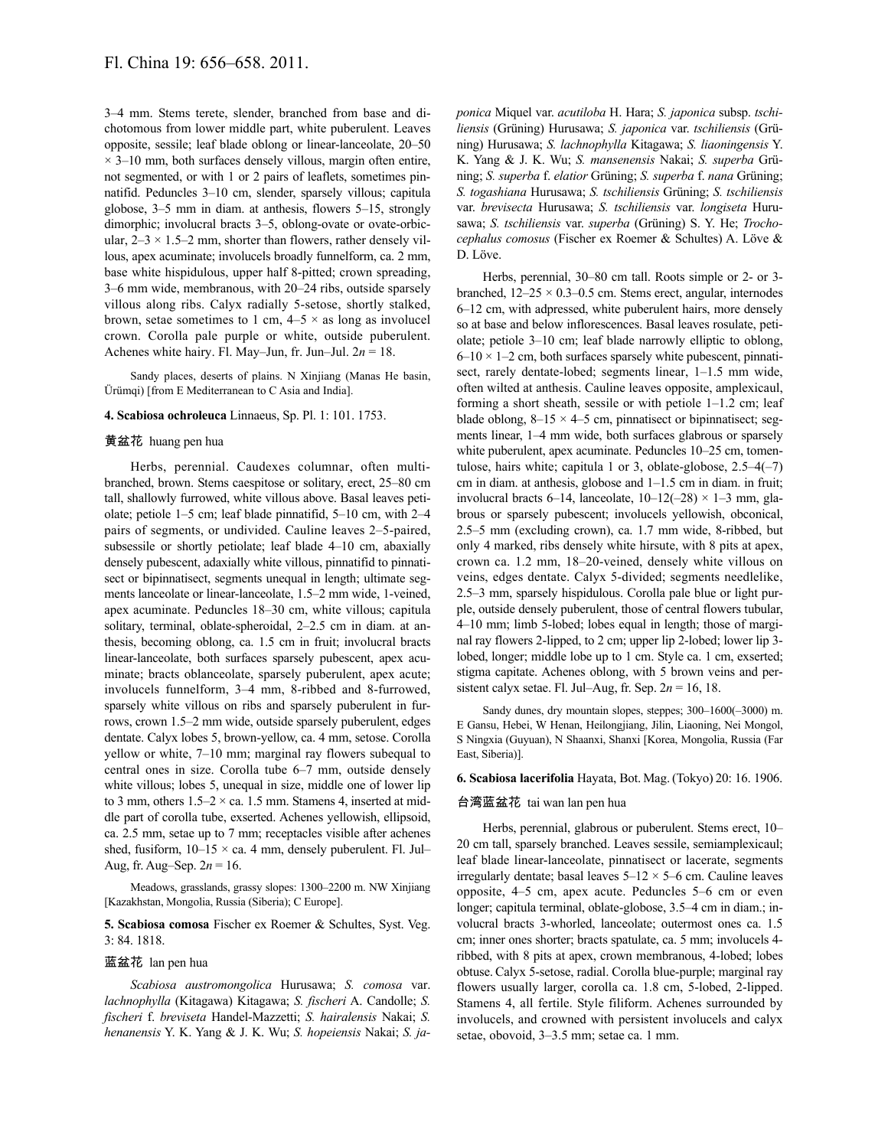3–4 mm. Stems terete, slender, branched from base and dichotomous from lower middle part, white puberulent. Leaves opposite, sessile; leaf blade oblong or linear-lanceolate, 20–50  $\times$  3–10 mm, both surfaces densely villous, margin often entire, not segmented, or with 1 or 2 pairs of leaflets, sometimes pinnatifid. Peduncles 3–10 cm, slender, sparsely villous; capitula globose, 3–5 mm in diam. at anthesis, flowers 5–15, strongly dimorphic; involucral bracts 3–5, oblong-ovate or ovate-orbicular,  $2-3 \times 1.5-2$  mm, shorter than flowers, rather densely villous, apex acuminate; involucels broadly funnelform, ca. 2 mm, base white hispidulous, upper half 8-pitted; crown spreading, 3–6 mm wide, membranous, with 20–24 ribs, outside sparsely villous along ribs. Calyx radially 5-setose, shortly stalked, brown, setae sometimes to 1 cm,  $4-5 \times$  as long as involucel crown. Corolla pale purple or white, outside puberulent. Achenes white hairy. Fl. May–Jun, fr. Jun–Jul. 2*n* = 18.

Sandy places, deserts of plains. N Xinjiang (Manas He basin, Ürümqi) [from E Mediterranean to C Asia and India].

#### **4. Scabiosa ochroleuca** Linnaeus, Sp. Pl. 1: 101. 1753.

### 黄盆花 huang pen hua

Herbs, perennial. Caudexes columnar, often multibranched, brown. Stems caespitose or solitary, erect, 25–80 cm tall, shallowly furrowed, white villous above. Basal leaves petiolate; petiole 1–5 cm; leaf blade pinnatifid, 5–10 cm, with 2–4 pairs of segments, or undivided. Cauline leaves 2–5-paired, subsessile or shortly petiolate; leaf blade 4–10 cm, abaxially densely pubescent, adaxially white villous, pinnatifid to pinnatisect or bipinnatisect, segments unequal in length; ultimate segments lanceolate or linear-lanceolate, 1.5–2 mm wide, 1-veined, apex acuminate. Peduncles 18–30 cm, white villous; capitula solitary, terminal, oblate-spheroidal, 2–2.5 cm in diam. at anthesis, becoming oblong, ca. 1.5 cm in fruit; involucral bracts linear-lanceolate, both surfaces sparsely pubescent, apex acuminate; bracts oblanceolate, sparsely puberulent, apex acute; involucels funnelform, 3–4 mm, 8-ribbed and 8-furrowed, sparsely white villous on ribs and sparsely puberulent in furrows, crown 1.5–2 mm wide, outside sparsely puberulent, edges dentate. Calyx lobes 5, brown-yellow, ca. 4 mm, setose. Corolla yellow or white, 7–10 mm; marginal ray flowers subequal to central ones in size. Corolla tube 6–7 mm, outside densely white villous; lobes 5, unequal in size, middle one of lower lip to 3 mm, others  $1.5-2 \times$  ca. 1.5 mm. Stamens 4, inserted at middle part of corolla tube, exserted. Achenes yellowish, ellipsoid, ca. 2.5 mm, setae up to 7 mm; receptacles visible after achenes shed, fusiform,  $10-15 \times$  ca. 4 mm, densely puberulent. Fl. Jul– Aug, fr. Aug–Sep.  $2n = 16$ .

Meadows, grasslands, grassy slopes: 1300–2200 m. NW Xinjiang [Kazakhstan, Mongolia, Russia (Siberia); C Europe].

# **5. Scabiosa comosa** Fischer ex Roemer & Schultes, Syst. Veg. 3: 84. 1818.

### 蓝盆花 lan pen hua

*Scabiosa austromongolica* Hurusawa; *S. comosa* var. *lachnophylla* (Kitagawa) Kitagawa; *S. fischeri* A. Candolle; *S. fischeri* f. *breviseta* Handel-Mazzetti; *S. hairalensis* Nakai; *S. henanensis* Y. K. Yang & J. K. Wu; *S. hopeiensis* Nakai; *S. ja-* *ponica* Miquel var. *acutiloba* H. Hara; *S. japonica* subsp. *tschiliensis* (Grüning) Hurusawa; *S. japonica* var. *tschiliensis* (Grüning) Hurusawa; *S. lachnophylla* Kitagawa; *S. liaoningensis* Y. K. Yang & J. K. Wu; *S. mansenensis* Nakai; *S. superba* Grüning; *S. superba* f. *elatior* Grüning; *S. superba* f. *nana* Grüning; *S. togashiana* Hurusawa; *S. tschiliensis* Grüning; *S. tschiliensis* var. *brevisecta* Hurusawa; *S. tschiliensis* var. *longiseta* Hurusawa; *S. tschiliensis* var. *superba* (Grüning) S. Y. He; *Trochocephalus comosus* (Fischer ex Roemer & Schultes) A. Löve & D. Löve.

Herbs, perennial, 30–80 cm tall. Roots simple or 2- or 3 branched,  $12-25 \times 0.3-0.5$  cm. Stems erect, angular, internodes 6–12 cm, with adpressed, white puberulent hairs, more densely so at base and below inflorescences. Basal leaves rosulate, petiolate; petiole 3–10 cm; leaf blade narrowly elliptic to oblong,  $6-10 \times 1-2$  cm, both surfaces sparsely white pubescent, pinnatisect, rarely dentate-lobed; segments linear, 1–1.5 mm wide, often wilted at anthesis. Cauline leaves opposite, amplexicaul, forming a short sheath, sessile or with petiole 1–1.2 cm; leaf blade oblong,  $8-15 \times 4-5$  cm, pinnatisect or bipinnatisect; segments linear, 1–4 mm wide, both surfaces glabrous or sparsely white puberulent, apex acuminate. Peduncles  $10-25$  cm, tomentulose, hairs white; capitula 1 or 3, oblate-globose,  $2.5-4(-7)$ cm in diam. at anthesis, globose and 1–1.5 cm in diam. in fruit; involucral bracts 6–14, lanceolate,  $10-12(-28) \times 1-3$  mm, glabrous or sparsely pubescent; involucels yellowish, obconical, 2.5–5 mm (excluding crown), ca. 1.7 mm wide, 8-ribbed, but only 4 marked, ribs densely white hirsute, with 8 pits at apex, crown ca. 1.2 mm, 18–20-veined, densely white villous on veins, edges dentate. Calyx 5-divided; segments needlelike, 2.5–3 mm, sparsely hispidulous. Corolla pale blue or light purple, outside densely puberulent, those of central flowers tubular, 4–10 mm; limb 5-lobed; lobes equal in length; those of marginal ray flowers 2-lipped, to 2 cm; upper lip 2-lobed; lower lip 3 lobed, longer; middle lobe up to 1 cm. Style ca. 1 cm, exserted; stigma capitate. Achenes oblong, with 5 brown veins and persistent calyx setae. Fl. Jul–Aug, fr. Sep.  $2n = 16$ , 18.

Sandy dunes, dry mountain slopes, steppes; 300–1600(–3000) m. E Gansu, Hebei, W Henan, Heilongjiang, Jilin, Liaoning, Nei Mongol, S Ningxia (Guyuan), N Shaanxi, Shanxi [Korea, Mongolia, Russia (Far East, Siberia)].

### **6. Scabiosa lacerifolia** Hayata, Bot. Mag. (Tokyo) 20: 16. 1906.

#### 台湾蓝盆花 tai wan lan pen hua

Herbs, perennial, glabrous or puberulent. Stems erect, 10– 20 cm tall, sparsely branched. Leaves sessile, semiamplexicaul; leaf blade linear-lanceolate, pinnatisect or lacerate, segments irregularly dentate; basal leaves  $5-12 \times 5-6$  cm. Cauline leaves opposite, 4–5 cm, apex acute. Peduncles 5–6 cm or even longer; capitula terminal, oblate-globose, 3.5–4 cm in diam.; involucral bracts 3-whorled, lanceolate; outermost ones ca. 1.5 cm; inner ones shorter; bracts spatulate, ca. 5 mm; involucels 4 ribbed, with 8 pits at apex, crown membranous, 4-lobed; lobes obtuse. Calyx 5-setose, radial. Corolla blue-purple; marginal ray flowers usually larger, corolla ca. 1.8 cm, 5-lobed, 2-lipped. Stamens 4, all fertile. Style filiform. Achenes surrounded by involucels, and crowned with persistent involucels and calyx setae, obovoid, 3–3.5 mm; setae ca. 1 mm.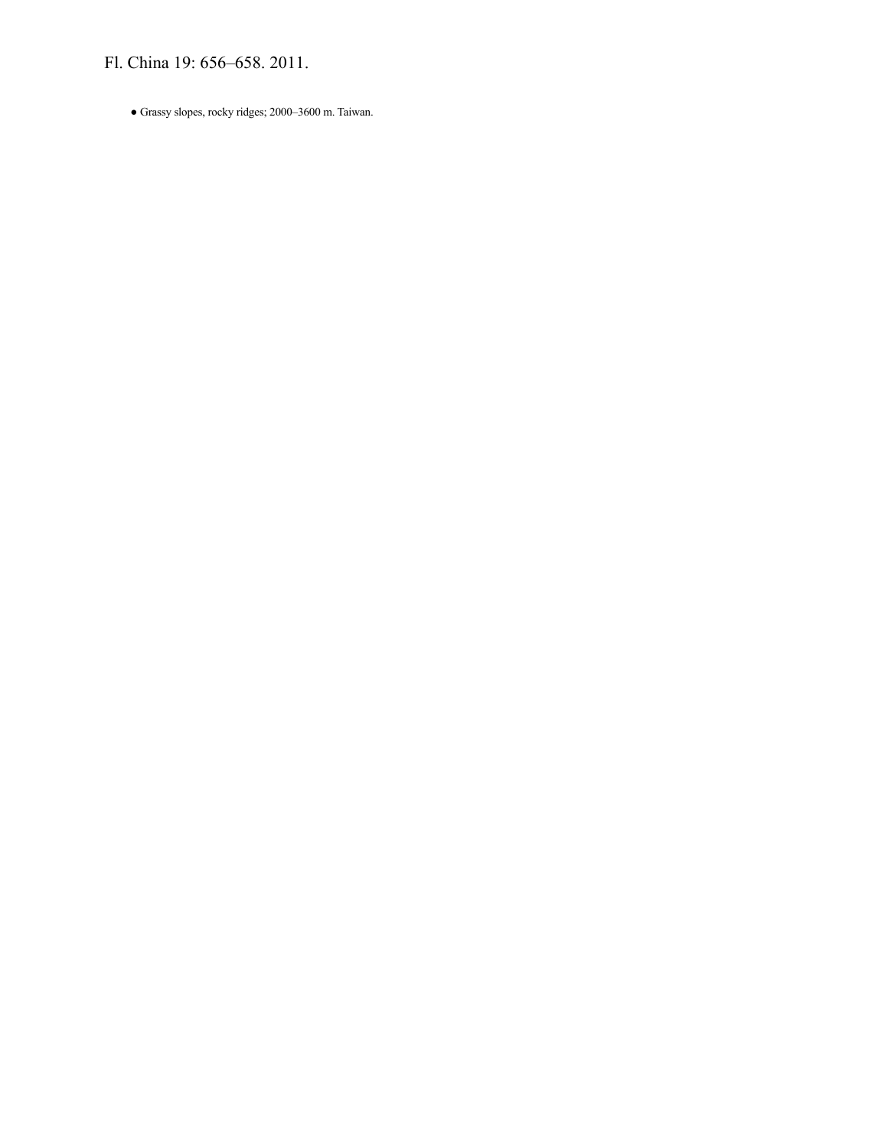Fl. China 19: 656–658. 2011.

● Grassy slopes, rocky ridges; 2000–3600 m. Taiwan.